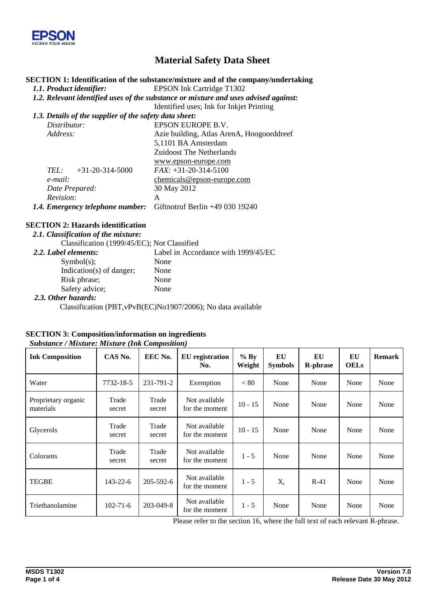

# **Material Safety Data Sheet**

### **SECTION 1: Identification of the substance/mixture and of the company/undertaking**

*1.1. Product identifier:* EPSON Ink Cartridge T1302

*1.2. Relevant identified uses of the substance or mixture and uses advised against:* 

Identified uses; Ink for Inkjet Printing

*1.3. Details of the supplier of the safety data sheet: Distributor*: The state of the EPSON EUROPE B.V.

| <i>- ~</i>                                                              |                                           |
|-------------------------------------------------------------------------|-------------------------------------------|
| Address:                                                                | Azie building, Atlas ArenA, Hoogoorddreef |
|                                                                         | 5,1101 BA Amsterdam                       |
|                                                                         | <b>Zuidoost The Netherlands</b>           |
|                                                                         | www.epson-europe.com                      |
| $+31-20-314-5000$<br>TEL:                                               | $FAX: +31-20-314-5100$                    |
| e-mail:                                                                 | chemicals@epson-europe.com                |
| Date Prepared:                                                          | 30 May 2012                               |
| Revision:                                                               | A                                         |
| <b>1.4. Emergency telephone number:</b> Giftnotruf Berlin +49 030 19240 |                                           |
|                                                                         |                                           |

## **SECTION 2: Hazards identification**

#### *2.1. Classification of the mixture:*

Classification (1999/45/EC); Not Classified

| Label in Accordance with 1999/45/EC |
|-------------------------------------|
| None                                |
| None                                |
| None                                |
| None                                |
|                                     |

#### *2.3. Other hazards:*

Classification (PBT,vPvB(EC)No1907/2006); No data available

#### **SECTION 3: Composition/information on ingredients**   *Substance / Mixture: Mixture (Ink Composition)*

| <b>Ink Composition</b>           | CAS No.         | EEC No.         | <b>EU</b> registration<br>No.   | $%$ By<br>Weight | EU<br><b>Symbols</b> | EU<br><b>R-phrase</b> | EU<br><b>OELs</b> | <b>Remark</b> |
|----------------------------------|-----------------|-----------------|---------------------------------|------------------|----------------------|-----------------------|-------------------|---------------|
| Water                            | 7732-18-5       | 231-791-2       | Exemption                       | < 80             | None                 | None                  | None              | None          |
| Proprietary organic<br>materials | Trade<br>secret | Trade<br>secret | Not available<br>for the moment | $10 - 15$        | None                 | None                  | None              | None          |
| Glycerols                        | Trade<br>secret | Trade<br>secret | Not available<br>for the moment | $10 - 15$        | None                 | None                  | None              | None          |
| Colorants                        | Trade<br>secret | Trade<br>secret | Not available<br>for the moment | $1 - 5$          | None                 | None                  | None              | None          |
| <b>TEGBE</b>                     | $143 - 22 - 6$  | 205-592-6       | Not available<br>for the moment | $1 - 5$          | $X_i$                | $R-41$                | None              | None          |
| Triethanolamine                  | $102 - 71 - 6$  | 203-049-8       | Not available<br>for the moment | $1 - 5$          | None                 | None                  | None              | None          |

Please refer to the section 16, where the full text of each relevant R-phrase.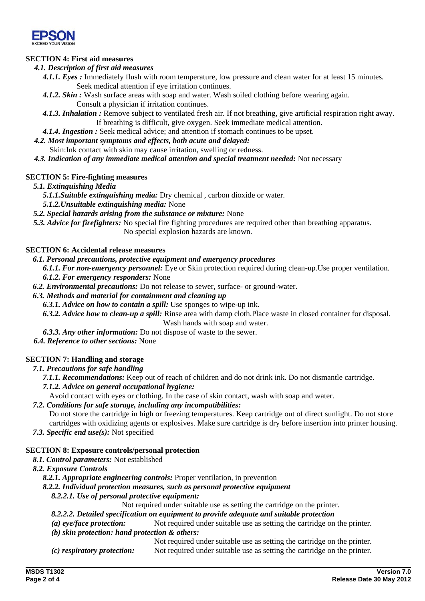

## **SECTION 4: First aid measures**

#### *4.1. Description of first aid measures*

- *4.1.1. Eyes :* Immediately flush with room temperature, low pressure and clean water for at least 15 minutes*.*  Seek medical attention if eye irritation continues.
- *4.1.2. Skin :* Wash surface areas with soap and water. Wash soiled clothing before wearing again. Consult a physician if irritation continues.
- *4.1.3. Inhalation :* Remove subject to ventilated fresh air. If not breathing, give artificial respiration right away. If breathing is difficult, give oxygen. Seek immediate medical attention.
- *4.1.4. Ingestion :* Seek medical advice; and attention if stomach continues to be upset.
- *4.2. Most important symptoms and effects, both acute and delayed:*
	- Skin:Ink contact with skin may cause irritation, swelling or redness.
- *4.3. Indication of any immediate medical attention and special treatment needed:* Not necessary

## **SECTION 5: Fire-fighting measures**

#### *5.1. Extinguishing Media*

- *5.1.1.Suitable extinguishing media:* Dry chemical , carbon dioxide or water.
	- *5.1.2.Unsuitable extinguishing media:* None
- *5.2. Special hazards arising from the substance or mixture:* None
- *5.3. Advice for firefighters:* No special fire fighting procedures are required other than breathing apparatus. No special explosion hazards are known.

## **SECTION 6: Accidental release measures**

#### *6.1. Personal precautions, protective equipment and emergency procedures*

- *6.1.1. For non-emergency personnel:* Eye or Skin protection required during clean-up.Use proper ventilation. *6.1.2. For emergency responders:* None
- *6.2. Environmental precautions:* Do not release to sewer, surface- or ground-water.

### *6.3. Methods and material for containment and cleaning up*

- *6.3.1. Advice on how to contain a spill:* Use sponges to wipe-up ink.
- *6.3.2. Advice how to clean-up a spill:* Rinse area with damp cloth.Place waste in closed container for disposal. Wash hands with soap and water.
- *6.3.3. Any other information:* Do not dispose of waste to the sewer.
- *6.4. Reference to other sections:* None

## **SECTION 7: Handling and storage**

#### *7.1. Precautions for safe handling*

*7.1.1. Recommendations:* Keep out of reach of children and do not drink ink. Do not dismantle cartridge. *7.1.2. Advice on general occupational hygiene:* 

- Avoid contact with eyes or clothing. In the case of skin contact, wash with soap and water.
- *7.2. Conditions for safe storage, including any incompatibilities:*

Do not store the cartridge in high or freezing temperatures. Keep cartridge out of direct sunlight. Do not store cartridges with oxidizing agents or explosives. Make sure cartridge is dry before insertion into printer housing.

*7.3. Specific end use(s):* Not specified

## **SECTION 8: Exposure controls/personal protection**

## *8.1. Control parameters:* Not established

- *8.2. Exposure Controls* 
	- *8.2.1. Appropriate engineering controls:* Proper ventilation, in prevention
	- *8.2.2. Individual protection measures, such as personal protective equipment*

## *8.2.2.1. Use of personal protective equipment:*

Not required under suitable use as setting the cartridge on the printer.

## *8.2.2.2. Detailed specification on equipment to provide adequate and suitable protection*

*(a) eye/face protection:* Not required under suitable use as setting the cartridge on the printer. *(b) skin protection: hand protection & others:* 

Not required under suitable use as setting the cartridge on the printer. *(c) respiratory protection:* Not required under suitable use as setting the cartridge on the printer.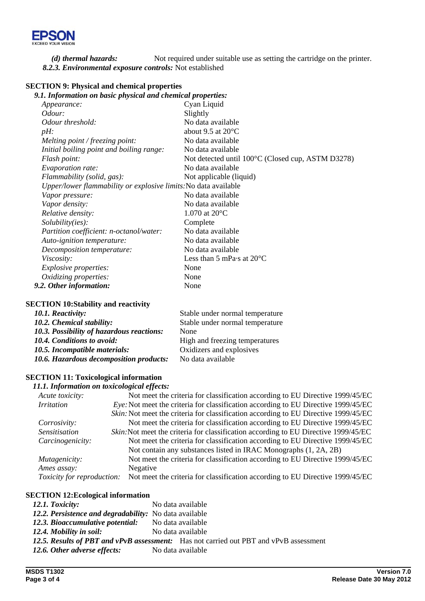

*(d) thermal hazards:* Not required under suitable use as setting the cartridge on the printer. *8.2.3. Environmental exposure controls:* Not established

## **SECTION 9: Physical and chemical properties**

| 9.1. Information on basic physical and chemical properties:     |                                                   |
|-----------------------------------------------------------------|---------------------------------------------------|
| Appearance:                                                     | Cyan Liquid                                       |
| Odour:                                                          | Slightly                                          |
| Odour threshold:                                                | No data available                                 |
| $pH$ :                                                          | about 9.5 at $20^{\circ}$ C                       |
| Melting point / freezing point:                                 | No data available                                 |
| Initial boiling point and boiling range:                        | No data available                                 |
| Flash point:                                                    | Not detected until 100°C (Closed cup, ASTM D3278) |
| <i>Evaporation rate:</i>                                        | No data available                                 |
| Flammability (solid, gas):                                      | Not applicable (liquid)                           |
| Upper/lower flammability or explosive limits: No data available |                                                   |
| Vapor pressure:                                                 | No data available                                 |
| Vapor density:                                                  | No data available                                 |
| Relative density:                                               | 1.070 at $20^{\circ}$ C                           |
| Solubility(ies):                                                | Complete                                          |
| Partition coefficient: n-octanol/water:                         | No data available                                 |
| Auto-ignition temperature:                                      | No data available                                 |
| Decomposition temperature:                                      | No data available                                 |
| Viscosity:                                                      | Less than 5 mPa $\cdot$ s at 20 $\rm ^{\circ}C$   |
| <i>Explosive properties:</i>                                    | None                                              |
| Oxidizing properties:                                           | None                                              |
| 9.2. Other information:                                         | None                                              |
|                                                                 |                                                   |

## **SECTION 10:Stability and reactivity**

## **SECTION 11: Toxicological information**

| 11.1. Information on toxicological effects:                                                                 |
|-------------------------------------------------------------------------------------------------------------|
| Not meet the criteria for classification according to EU Directive 1999/45/EC                               |
| <i>Eye:</i> Not meet the criteria for classification according to EU Directive 1999/45/EC                   |
| <i>Skin:</i> Not meet the criteria for classification according to EU Directive 1999/45/EC                  |
| Not meet the criteria for classification according to EU Directive 1999/45/EC                               |
| <i>Skin:</i> Not meet the criteria for classification according to EU Directive 1999/45/EC                  |
| Not meet the criteria for classification according to EU Directive 1999/45/EC                               |
| Not contain any substances listed in IRAC Monographs (1, 2A, 2B)                                            |
| Not meet the criteria for classification according to EU Directive 1999/45/EC                               |
| Negative                                                                                                    |
| Not meet the criteria for classification according to EU Directive 1999/45/EC<br>Toxicity for reproduction: |
|                                                                                                             |

### **SECTION 12:Ecological information**

| 12.1. Toxicity:                                        | No data available                                                                     |
|--------------------------------------------------------|---------------------------------------------------------------------------------------|
| 12.2. Persistence and degradability: No data available |                                                                                       |
| 12.3. Bioaccumulative potential: No data available     |                                                                                       |
| 12.4. Mobility in soil:                                | No data available                                                                     |
|                                                        | 12.5. Results of PBT and vPvB assessment: Has not carried out PBT and vPvB assessment |
| 12.6. Other adverse effects:                           | No data available                                                                     |
|                                                        |                                                                                       |